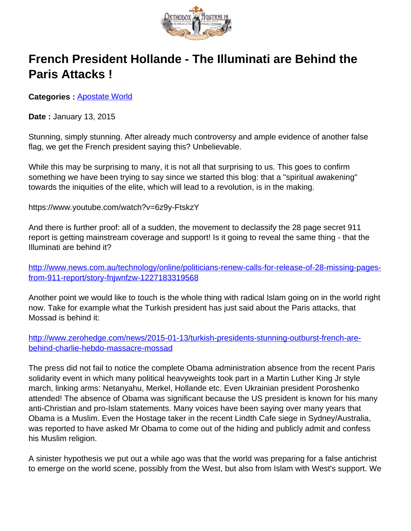

## **French President Hollande - The Illuminati are Behind the Paris Attacks !**

**Categories : [Apostate World](http://orthodoxaustralia.org/category/apostate-world/)** 

**Date :** January 13, 2015

Stunning, simply stunning. After already much controversy and ample evidence of another false flag, we get the French president saying this? Unbelievable.

While this may be surprising to many, it is not all that surprising to us. This goes to confirm something we have been trying to say since we started this blog: that a "spiritual awakening" towards the iniquities of the elite, which will lead to a revolution, is in the making.

https://www.youtube.com/watch?v=6z9y-FtskzY

And there is further proof: all of a sudden, the movement to declassify the 28 page secret 911 report is getting mainstream coverage and support! Is it going to reveal the same thing - that the Illuminati are behind it?

http://www.news.com.au/technology/online/politicians-renew-calls-for-release-of-28-missing-pagesfrom-911-report/story-fnjwnfzw-1227183319568

Another point we would like to touch is the whole thing with radical Islam going on in the world right now. Take for example what the Turkish president has just said about the Paris attacks, that Mossad is behind it:

[http://www.zerohedge.com/news/2015-01-13/turkish-presidents-stunning-outburst-french-are](http://www.zerohedge.com/news/2015-01-13/turkish-presidents-stunning-outburst-french-are-behind-charlie-hebdo-massacre-mossad)[behind-charlie-hebdo-massacre-mossad](http://www.zerohedge.com/news/2015-01-13/turkish-presidents-stunning-outburst-french-are-behind-charlie-hebdo-massacre-mossad)

The press did not fail to notice the complete Obama administration absence from the recent Paris solidarity event in which many political heavyweights took part in a Martin Luther King Jr style march, linking arms: Netanyahu, Merkel, Hollande etc. Even Ukrainian president Poroshenko attended! The absence of Obama was significant because the US president is known for his many anti-Christian and pro-Islam statements. Many voices have been saying over many years that Obama is a Muslim. Even the Hostage taker in the recent Lindth Cafe siege in Sydney/Australia, was reported to have asked Mr Obama to come out of the hiding and publicly admit and confess his Muslim religion.

A sinister hypothesis we put out a while ago was that the world was preparing for a false antichrist to emerge on the world scene, possibly from the West, but also from Islam with West's support. We